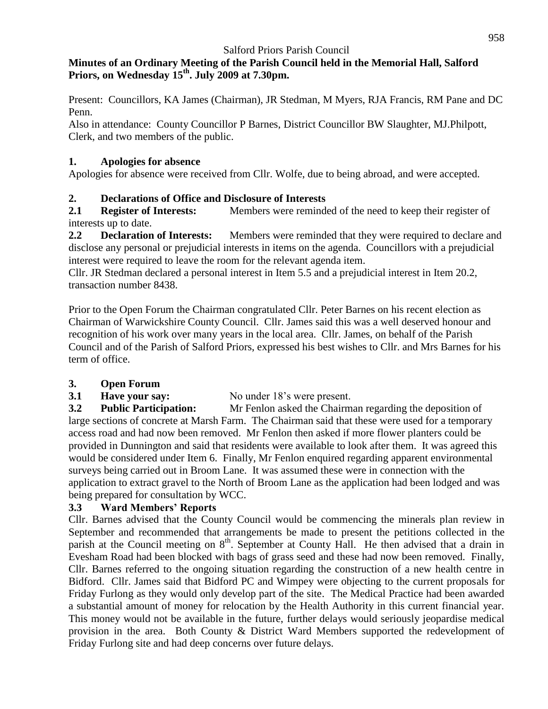## **Minutes of an Ordinary Meeting of the Parish Council held in the Memorial Hall, Salford Priors, on Wednesday 15 th. July 2009 at 7.30pm.**

Present: Councillors, KA James (Chairman), JR Stedman, M Myers, RJA Francis, RM Pane and DC Penn.

Also in attendance: County Councillor P Barnes, District Councillor BW Slaughter, MJ.Philpott, Clerk, and two members of the public.

## **1. Apologies for absence**

Apologies for absence were received from Cllr. Wolfe, due to being abroad, and were accepted.

# **2. Declarations of Office and Disclosure of Interests**

**2.1 Register of Interests:** Members were reminded of the need to keep their register of interests up to date.

**2.2 Declaration of Interests:** Members were reminded that they were required to declare and disclose any personal or prejudicial interests in items on the agenda. Councillors with a prejudicial interest were required to leave the room for the relevant agenda item.

Cllr. JR Stedman declared a personal interest in Item 5.5 and a prejudicial interest in Item 20.2, transaction number 8438.

Prior to the Open Forum the Chairman congratulated Cllr. Peter Barnes on his recent election as Chairman of Warwickshire County Council. Cllr. James said this was a well deserved honour and recognition of his work over many years in the local area. Cllr. James, on behalf of the Parish Council and of the Parish of Salford Priors, expressed his best wishes to Cllr. and Mrs Barnes for his term of office.

# **3. Open Forum**

**3.1 Have your say:** No under 18's were present.

**3.2 Public Participation:** Mr Fenlon asked the Chairman regarding the deposition of large sections of concrete at Marsh Farm. The Chairman said that these were used for a temporary access road and had now been removed. Mr Fenlon then asked if more flower planters could be provided in Dunnington and said that residents were available to look after them. It was agreed this would be considered under Item 6. Finally, Mr Fenlon enquired regarding apparent environmental surveys being carried out in Broom Lane. It was assumed these were in connection with the application to extract gravel to the North of Broom Lane as the application had been lodged and was being prepared for consultation by WCC.

# **3.3 Ward Members' Reports**

Cllr. Barnes advised that the County Council would be commencing the minerals plan review in September and recommended that arrangements be made to present the petitions collected in the parish at the Council meeting on  $8<sup>th</sup>$ . September at County Hall. He then advised that a drain in Evesham Road had been blocked with bags of grass seed and these had now been removed. Finally, Cllr. Barnes referred to the ongoing situation regarding the construction of a new health centre in Bidford. Cllr. James said that Bidford PC and Wimpey were objecting to the current proposals for Friday Furlong as they would only develop part of the site. The Medical Practice had been awarded a substantial amount of money for relocation by the Health Authority in this current financial year. This money would not be available in the future, further delays would seriously jeopardise medical provision in the area. Both County & District Ward Members supported the redevelopment of Friday Furlong site and had deep concerns over future delays.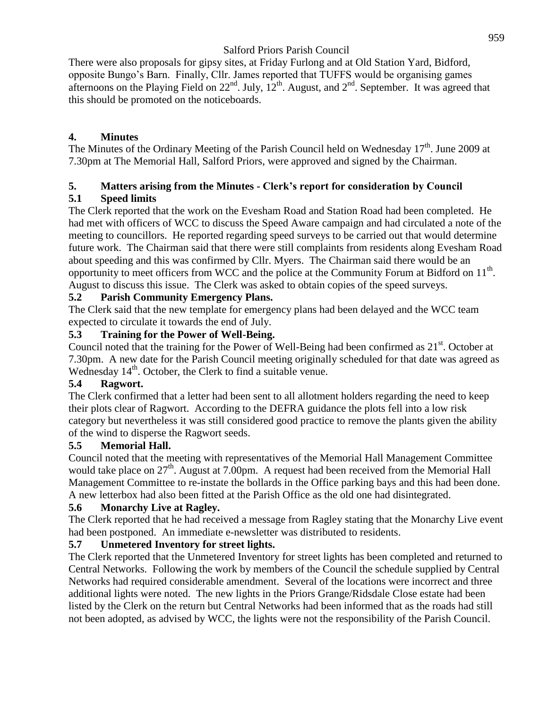There were also proposals for gipsy sites, at Friday Furlong and at Old Station Yard, Bidford, opposite Bungo's Barn. Finally, Cllr. James reported that TUFFS would be organising games afternoons on the Playing Field on  $22^{nd}$ . July,  $12^{th}$ . August, and  $2^{nd}$ . September. It was agreed that this should be promoted on the noticeboards.

# **4. Minutes**

The Minutes of the Ordinary Meeting of the Parish Council held on Wednesday 17<sup>th</sup>. June 2009 at 7.30pm at The Memorial Hall, Salford Priors, were approved and signed by the Chairman.

#### **5. Matters arising from the Minutes - Clerk's report for consideration by Council 5.1 Speed limits**

The Clerk reported that the work on the Evesham Road and Station Road had been completed. He had met with officers of WCC to discuss the Speed Aware campaign and had circulated a note of the meeting to councillors. He reported regarding speed surveys to be carried out that would determine future work. The Chairman said that there were still complaints from residents along Evesham Road about speeding and this was confirmed by Cllr. Myers. The Chairman said there would be an opportunity to meet officers from WCC and the police at the Community Forum at Bidford on  $11<sup>th</sup>$ . August to discuss this issue. The Clerk was asked to obtain copies of the speed surveys.

# **5.2 Parish Community Emergency Plans.**

The Clerk said that the new template for emergency plans had been delayed and the WCC team expected to circulate it towards the end of July.

## **5.3 Training for the Power of Well-Being.**

Council noted that the training for the Power of Well-Being had been confirmed as 21<sup>st</sup>. October at 7.30pm. A new date for the Parish Council meeting originally scheduled for that date was agreed as Wednesday  $14<sup>th</sup>$ . October, the Clerk to find a suitable venue.

## **5.4 Ragwort.**

The Clerk confirmed that a letter had been sent to all allotment holders regarding the need to keep their plots clear of Ragwort. According to the DEFRA guidance the plots fell into a low risk category but nevertheless it was still considered good practice to remove the plants given the ability of the wind to disperse the Ragwort seeds.

## **5.5 Memorial Hall.**

Council noted that the meeting with representatives of the Memorial Hall Management Committee would take place on 27<sup>th</sup>. August at 7.00pm. A request had been received from the Memorial Hall Management Committee to re-instate the bollards in the Office parking bays and this had been done. A new letterbox had also been fitted at the Parish Office as the old one had disintegrated.

# **5.6 Monarchy Live at Ragley.**

The Clerk reported that he had received a message from Ragley stating that the Monarchy Live event had been postponed. An immediate e-newsletter was distributed to residents.

# **5.7 Unmetered Inventory for street lights.**

The Clerk reported that the Unmetered Inventory for street lights has been completed and returned to Central Networks. Following the work by members of the Council the schedule supplied by Central Networks had required considerable amendment. Several of the locations were incorrect and three additional lights were noted. The new lights in the Priors Grange/Ridsdale Close estate had been listed by the Clerk on the return but Central Networks had been informed that as the roads had still not been adopted, as advised by WCC, the lights were not the responsibility of the Parish Council.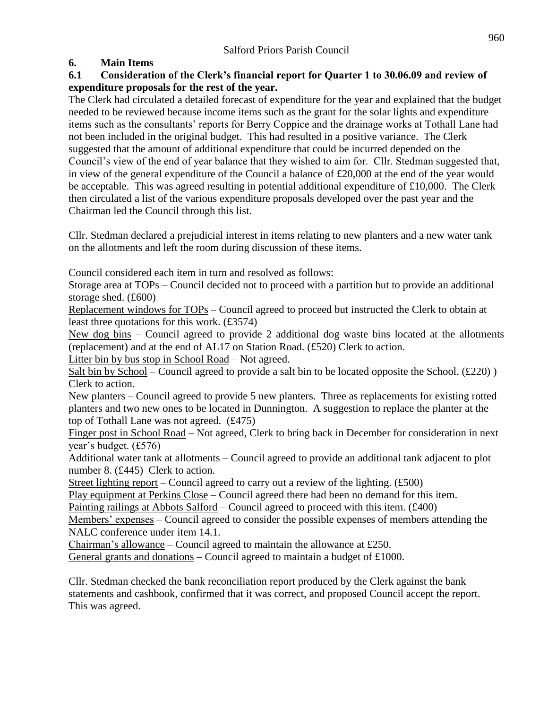## **6. Main Items**

## **6.1 Consideration of the Clerk's financial report for Quarter 1 to 30.06.09 and review of expenditure proposals for the rest of the year.**

The Clerk had circulated a detailed forecast of expenditure for the year and explained that the budget needed to be reviewed because income items such as the grant for the solar lights and expenditure items such as the consultants' reports for Berry Coppice and the drainage works at Tothall Lane had not been included in the original budget. This had resulted in a positive variance. The Clerk suggested that the amount of additional expenditure that could be incurred depended on the Council's view of the end of year balance that they wished to aim for. Cllr. Stedman suggested that, in view of the general expenditure of the Council a balance of £20,000 at the end of the year would be acceptable. This was agreed resulting in potential additional expenditure of £10,000. The Clerk then circulated a list of the various expenditure proposals developed over the past year and the Chairman led the Council through this list.

Cllr. Stedman declared a prejudicial interest in items relating to new planters and a new water tank on the allotments and left the room during discussion of these items.

Council considered each item in turn and resolved as follows:

Storage area at TOPs – Council decided not to proceed with a partition but to provide an additional storage shed. (£600)

Replacement windows for TOPs – Council agreed to proceed but instructed the Clerk to obtain at least three quotations for this work. (£3574)

New dog bins – Council agreed to provide 2 additional dog waste bins located at the allotments (replacement) and at the end of AL17 on Station Road. (£520) Clerk to action.

Litter bin by bus stop in School Road – Not agreed.

Salt bin by School – Council agreed to provide a salt bin to be located opposite the School. (£220) ) Clerk to action.

New planters – Council agreed to provide 5 new planters. Three as replacements for existing rotted planters and two new ones to be located in Dunnington. A suggestion to replace the planter at the top of Tothall Lane was not agreed. (£475)

Finger post in School Road – Not agreed, Clerk to bring back in December for consideration in next year's budget. (£576)

Additional water tank at allotments – Council agreed to provide an additional tank adjacent to plot number 8. (£445) Clerk to action.

Street lighting report – Council agreed to carry out a review of the lighting. (£500)

Play equipment at Perkins Close – Council agreed there had been no demand for this item.

Painting railings at Abbots Salford – Council agreed to proceed with this item. (£400)

Members' expenses – Council agreed to consider the possible expenses of members attending the NALC conference under item 14.1.

Chairman's allowance – Council agreed to maintain the allowance at £250.

General grants and donations – Council agreed to maintain a budget of £1000.

Cllr. Stedman checked the bank reconciliation report produced by the Clerk against the bank statements and cashbook, confirmed that it was correct, and proposed Council accept the report. This was agreed.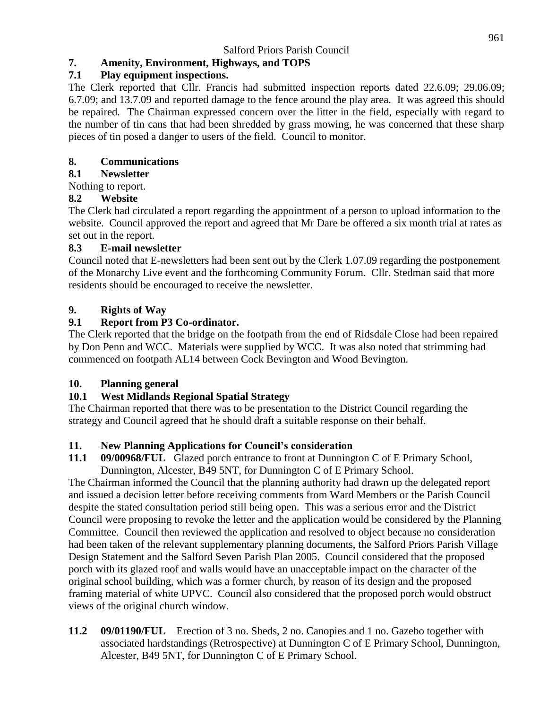# **7. Amenity, Environment, Highways, and TOPS**

## **7.1 Play equipment inspections.**

The Clerk reported that Cllr. Francis had submitted inspection reports dated 22.6.09; 29.06.09; 6.7.09; and 13.7.09 and reported damage to the fence around the play area. It was agreed this should be repaired. The Chairman expressed concern over the litter in the field, especially with regard to the number of tin cans that had been shredded by grass mowing, he was concerned that these sharp pieces of tin posed a danger to users of the field. Council to monitor.

# **8. Communications**

# **8.1 Newsletter**

Nothing to report.

# **8.2 Website**

The Clerk had circulated a report regarding the appointment of a person to upload information to the website. Council approved the report and agreed that Mr Dare be offered a six month trial at rates as set out in the report.

## **8.3 E-mail newsletter**

Council noted that E-newsletters had been sent out by the Clerk 1.07.09 regarding the postponement of the Monarchy Live event and the forthcoming Community Forum. Cllr. Stedman said that more residents should be encouraged to receive the newsletter.

# **9. Rights of Way**

# **9.1 Report from P3 Co-ordinator.**

The Clerk reported that the bridge on the footpath from the end of Ridsdale Close had been repaired by Don Penn and WCC. Materials were supplied by WCC. It was also noted that strimming had commenced on footpath AL14 between Cock Bevington and Wood Bevington.

# **10. Planning general**

# **10.1 West Midlands Regional Spatial Strategy**

The Chairman reported that there was to be presentation to the District Council regarding the strategy and Council agreed that he should draft a suitable response on their behalf.

# **11. New Planning Applications for Council's consideration**

**11.1 09/00968/FUL** Glazed porch entrance to front at Dunnington C of E Primary School, Dunnington, Alcester, B49 5NT, for Dunnington C of E Primary School.

The Chairman informed the Council that the planning authority had drawn up the delegated report and issued a decision letter before receiving comments from Ward Members or the Parish Council despite the stated consultation period still being open. This was a serious error and the District Council were proposing to revoke the letter and the application would be considered by the Planning Committee. Council then reviewed the application and resolved to object because no consideration had been taken of the relevant supplementary planning documents, the Salford Priors Parish Village Design Statement and the Salford Seven Parish Plan 2005. Council considered that the proposed porch with its glazed roof and walls would have an unacceptable impact on the character of the original school building, which was a former church, by reason of its design and the proposed framing material of white UPVC. Council also considered that the proposed porch would obstruct views of the original church window.

**11.2 09/01190/FUL** Erection of 3 no. Sheds, 2 no. Canopies and 1 no. Gazebo together with associated hardstandings (Retrospective) at Dunnington C of E Primary School, Dunnington, Alcester, B49 5NT, for Dunnington C of E Primary School.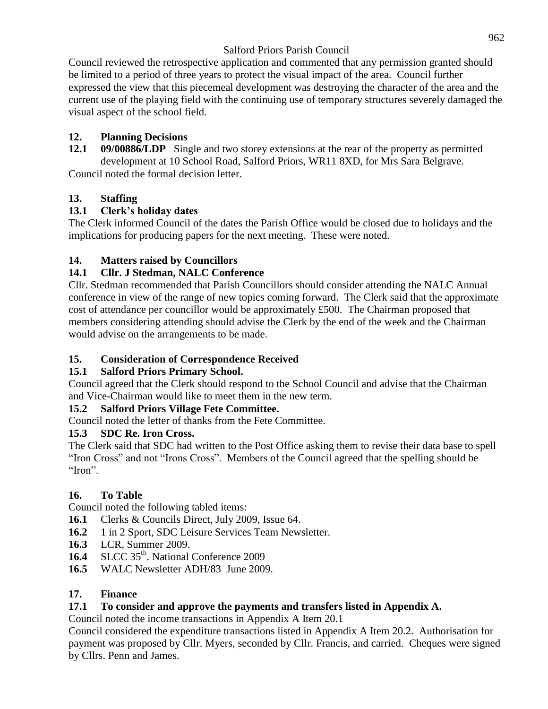Council reviewed the retrospective application and commented that any permission granted should be limited to a period of three years to protect the visual impact of the area. Council further expressed the view that this piecemeal development was destroying the character of the area and the current use of the playing field with the continuing use of temporary structures severely damaged the visual aspect of the school field.

# **12. Planning Decisions**

**12.1 09/00886/LDP** Single and two storey extensions at the rear of the property as permitted development at 10 School Road, Salford Priors, WR11 8XD, for Mrs Sara Belgrave. Council noted the formal decision letter.

## **13. Staffing**

## **13.1 Clerk's holiday dates**

The Clerk informed Council of the dates the Parish Office would be closed due to holidays and the implications for producing papers for the next meeting. These were noted.

## **14. Matters raised by Councillors**

## **14.1 Cllr. J Stedman, NALC Conference**

Cllr. Stedman recommended that Parish Councillors should consider attending the NALC Annual conference in view of the range of new topics coming forward. The Clerk said that the approximate cost of attendance per councillor would be approximately £500. The Chairman proposed that members considering attending should advise the Clerk by the end of the week and the Chairman would advise on the arrangements to be made.

## **15. Consideration of Correspondence Received**

## **15.1 Salford Priors Primary School.**

Council agreed that the Clerk should respond to the School Council and advise that the Chairman and Vice-Chairman would like to meet them in the new term.

### **15.2 Salford Priors Village Fete Committee.**

Council noted the letter of thanks from the Fete Committee.

## **15.3 SDC Re. Iron Cross.**

The Clerk said that SDC had written to the Post Office asking them to revise their data base to spell "Iron Cross" and not "Irons Cross". Members of the Council agreed that the spelling should be "Iron".

### **16. To Table**

Council noted the following tabled items:

- **16.1** Clerks & Councils Direct, July 2009, Issue 64.
- **16.2** 1 in 2 Sport, SDC Leisure Services Team Newsletter.
- **16.3** LCR, Summer 2009.
- 16.4 SLCC 35<sup>th</sup>. National Conference 2009
- **16.5** WALC Newsletter ADH/83 June 2009.

### **17. Finance**

## **17.1 To consider and approve the payments and transfers listed in Appendix A.**

Council noted the income transactions in Appendix A Item 20.1

Council considered the expenditure transactions listed in Appendix A Item 20.2. Authorisation for payment was proposed by Cllr. Myers, seconded by Cllr. Francis, and carried. Cheques were signed by Cllrs. Penn and James.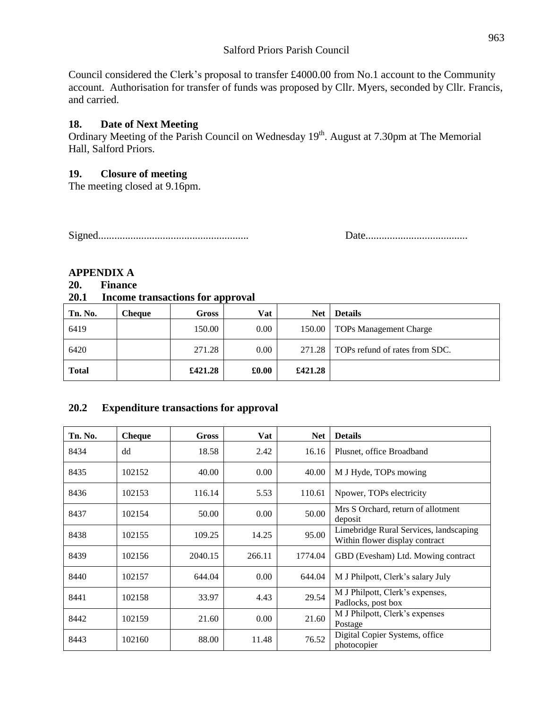Council considered the Clerk's proposal to transfer £4000.00 from No.1 account to the Community account. Authorisation for transfer of funds was proposed by Cllr. Myers, seconded by Cllr. Francis, and carried.

#### **18. Date of Next Meeting**

Ordinary Meeting of the Parish Council on Wednesday 19<sup>th</sup>. August at 7.30pm at The Memorial Hall, Salford Priors.

#### **19. Closure of meeting**

The meeting closed at 9.16pm.

Signed........................................................ Date......................................

### **APPENDIX A**

#### **20. Finance**

#### **20.1 Income transactions for approval**

| Tn. No.      | Cheaue | Gross   | Vat   | <b>Net</b> | <b>Details</b>                        |
|--------------|--------|---------|-------|------------|---------------------------------------|
| 6419         |        | 150.00  | 0.00  |            | 150.00   TOPs Management Charge       |
| 6420         |        | 271.28  | 0.00  |            | 271.28 TOPs refund of rates from SDC. |
| <b>Total</b> |        | £421.28 | £0.00 | £421.28    |                                       |

### **20.2 Expenditure transactions for approval**

| Tn. No. | <b>Cheque</b> | <b>Gross</b> | Vat    | <b>Net</b> | <b>Details</b>                                                           |
|---------|---------------|--------------|--------|------------|--------------------------------------------------------------------------|
| 8434    | dd            | 18.58        | 2.42   | 16.16      | Plusnet, office Broadband                                                |
| 8435    | 102152        | 40.00        | 0.00   | 40.00      | M J Hyde, TOPs mowing                                                    |
| 8436    | 102153        | 116.14       | 5.53   | 110.61     | Npower, TOPs electricity                                                 |
| 8437    | 102154        | 50.00        | 0.00   | 50.00      | Mrs S Orchard, return of allotment<br>deposit                            |
| 8438    | 102155        | 109.25       | 14.25  | 95.00      | Limebridge Rural Services, landscaping<br>Within flower display contract |
| 8439    | 102156        | 2040.15      | 266.11 | 1774.04    | GBD (Evesham) Ltd. Mowing contract                                       |
| 8440    | 102157        | 644.04       | 0.00   | 644.04     | M J Philpott, Clerk's salary July                                        |
| 8441    | 102158        | 33.97        | 4.43   | 29.54      | M J Philpott, Clerk's expenses,<br>Padlocks, post box                    |
| 8442    | 102159        | 21.60        | 0.00   | 21.60      | M J Philpott, Clerk's expenses<br>Postage                                |
| 8443    | 102160        | 88.00        | 11.48  | 76.52      | Digital Copier Systems, office<br>photocopier                            |